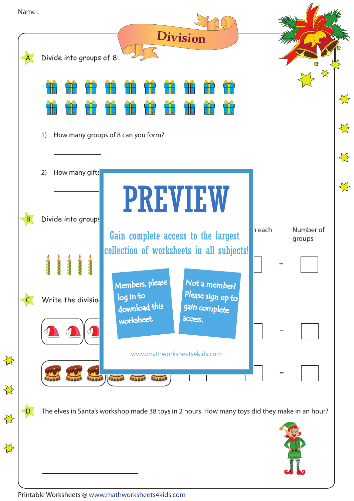|                  | Name: | <b>Division</b>                                                                                                        |                  |
|------------------|-------|------------------------------------------------------------------------------------------------------------------------|------------------|
|                  |       | Divide into groups of 8:                                                                                               |                  |
|                  |       |                                                                                                                        | $\sum$           |
|                  |       | How many groups of 8 can you form?<br>1)                                                                               | $\sum$           |
|                  |       | How many gifts<br>2)                                                                                                   | $\sum$<br>$\sum$ |
|                  | B     | <b>PREVIEW</b><br>Divide into groups<br>Number of<br>n each<br>Gain complete access to the largest<br>groups           |                  |
|                  |       | collection of worksheets in all subjects!<br>$=$<br>Members, please<br>Not a member?<br>Please sign up to<br>log in to |                  |
|                  |       | Write the divisio<br>download this<br>gain complete<br>worksheet.<br>access.<br>$=$                                    |                  |
| $\sum$<br>$\sum$ |       | www.mathworksheets4kids.com<br>$=$<br>30000 000000<br>3440.00<br>000000                                                |                  |
| $\sum$<br>$\sum$ |       | The elves in Santa's workshop made 38 toys in 2 hours. How many toys did they make in an hour?                         |                  |
|                  |       |                                                                                                                        |                  |